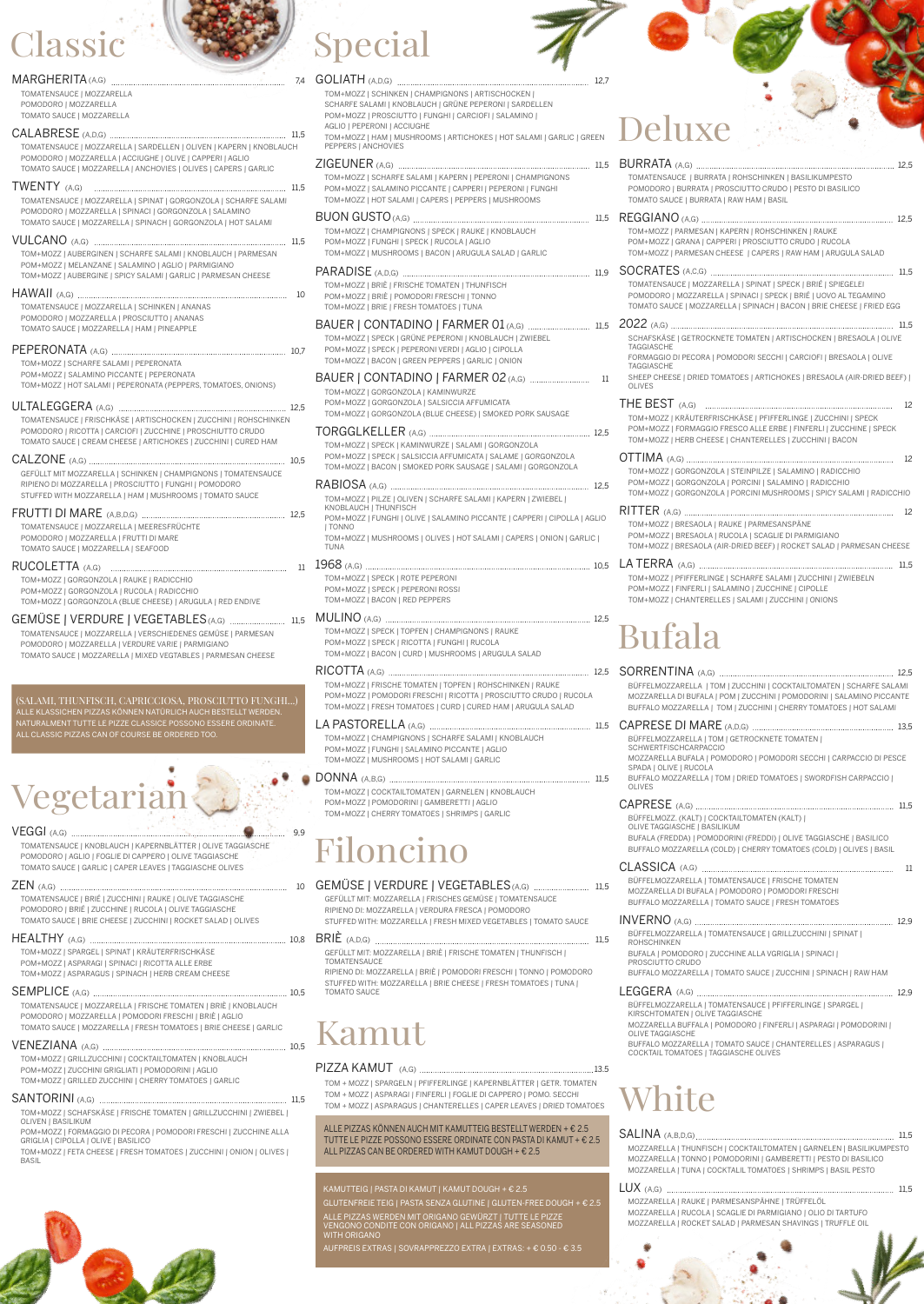TORGGLKELLER (A,G) 12,5 SALAMI | GORGONZOLA UMICATA | SALAME | GORGONZOLA SAUSAGE | SALAMI | GORGONZOLA

 $\begin{array}{ccc}\n 12,5\n \end{array}$ RFE SALAMI | KAPERN | ZWIEBEL |

MINO PICCANTE | CAPPERI | CIPOLLA | AGLIO

HOT SALAMI | CAPERS | ONION | GARLIC |

MULINO (A,G) 12,5 MPIGNONS | RAUKE GHI | RUCOLA TOOMS | ARUGULA SALAD

PFEN | ROHSCHINKEN | RAUKE RICOTTA | PROSCIUTTO CRUDO | RUCOLA RD | CURED HAM | ARUGULA SALAD

RFE SALAMI | KNOBLAUCH CCANTE I AGLIO LAMI | GARLIC

#### KAMUTTEIG | PASTA DI KAMUT | KAMUT DOUGH <sup>+</sup> € 2.5

GLUTENFREIE TEIG | PASTA SENZA GLUTINE | GLUTEN-FREE DOUGH <sup>+</sup> € 2.5

ALLE PIZZAS WERDEN MIT ORIGANO GEWÜRZT | TUTTE LE PIZZE VENGONO CONDITE CON ORIGANO | ALL PIZZAS ARE SEASONED WITH ORIGANO

AUFPREIS EXTRAS | SOVRAPPREZZO EXTRA | EXTRAS: <sup>+</sup> € 0.50 - € 3.5

ARNELEN | KNOBLAUCH OM+MOZZ | POMODORINI | GAMBERETTI | AGLIO TOM+MOZZ | CHERRY TOMATOES | SHRIMPS | GARLIC

Special

 $\cdots$  12,7 TONS | ARTISCHOCKEN I UNE PEPERONI | SARDELLEN CARCIOFI | SALAMINO | RTICHOKES | HOT SALAMI | GARLIC | GREEN ERN | PEPERONI | CHAMPIGNONS CAPPERI I PEPERONI I FUNGHI PEPPERS | MUSHROOMS

(I RAUKE | KNOBLAUCH **PLA I AGLIO** ARUGULA SALAD | GARLIC

EN | THUNFISCH POMOT | ITONNO S | TUNA

#### BAUER | CONTADINO | FARMER 01 (A,G) 11,5

ONI | KNOBLAUCH | ZWIEBEL DI | AGLIO | CIPOLLA RS | GARLIC | ONION

#### **ARMER 02** (A,G) 11

WURZE CIA AFFUMICATA HEESE) | SMOKED PORK SAUSAGE

# assic

|                                                                                                                                                                                                                                 | 7.4 | GOLIATH (A,D,G)                                                                                                             |
|---------------------------------------------------------------------------------------------------------------------------------------------------------------------------------------------------------------------------------|-----|-----------------------------------------------------------------------------------------------------------------------------|
| TOMATENSAUCE   MOZZARELLA<br>POMODORO   MOZZARELLA<br>TOMATO SAUCE   MOZZARELLA                                                                                                                                                 |     | TOM+MOZZ   SCHINKEN   CHAMPIGN<br>SCHARFE SALAMI   KNOBLAUCH   GR<br>POM+MOZZ   PROSCIUTTO   FUNGHI                         |
|                                                                                                                                                                                                                                 |     | AGLIO   PEPERONI   ACCIUGHE<br>TOM+MOZZ   HAM   MUSHROOMS   AI                                                              |
| TOMATENSAUCE   MOZZARELLA   SARDELLEN   OLIVEN   KAPERN   KNOBLAUCH<br>POMODORO   MOZZARELLA   ACCIUGHE   OLIVE   CAPPERI   AGLIO<br>TOMATO SAUCE   MOZZARELLA   ANCHOVIES   OLIVES   CAPERS   GARLIC                           |     | PEPPERS   ANCHOVIES<br>ZIGEUNER (A,G)                                                                                       |
| <b>TWENTY</b> (A,G)<br>TOMATENSAUCE   MOZZARELLA   SPINAT   GORGONZOLA   SCHARFE SALAMI                                                                                                                                         |     | TOM+MOZZ   SCHARFE SALAMI   KAP<br>POM+MOZZ   SALAMINO PICCANTE   0<br>TOM+MOZZ   HOT SALAMI   CAPERS                       |
| POMODORO   MOZZARELLA   SPINACI   GORGONZOLA   SALAMINO<br>TOMATO SAUCE   MOZZARELLA   SPINACH   GORGONZOLA   HOT SALAMI                                                                                                        |     | BUON GUSTO (A,G)<br>TOM+MOZZ   CHAMPIGNONS   SPECK                                                                          |
| TOM+MOZZ   AUBERGINEN   SCHARFE SALAMI   KNOBLAUCH   PARMESAN<br>POM+MOZZ   MELANZANE   SALAMINO   AGLIO   PARMIGIANO                                                                                                           |     | POM+MOZZ   FUNGHI   SPECK   RUCO<br>TOM+MOZZ   MUSHROOMS   BACON                                                            |
| TOM+MOZZ   AUBERGINE   SPICY SALAMI   GARLIC   PARMESAN CHEESE                                                                                                                                                                  |     | <b>PARADISE</b> (A,D,G)<br>TOM+MOZZ   BRIÈ   FRISCHE TOMATE                                                                 |
| TOMATENSAUCE   MOZZARELLA   SCHINKEN   ANANAS                                                                                                                                                                                   |     | POM+MOZZ   BRIÈ   POMODORI FRES<br>TOM+MOZZ   BRIE   FRESH TOMATOES                                                         |
| POMODORO   MOZZARELLA   PROSCIUTTO   ANANAS<br>TOMATO SAUCE   MOZZARELLA   HAM   PINEAPPLE                                                                                                                                      |     | BAUER   CONTADINO   FA<br>TOM+MOZZ   SPECK   GRÜNE PEPERO                                                                   |
| TOM+MOZZ   SCHARFE SALAMI   PEPERONATA                                                                                                                                                                                          |     | POM+MOZZ   SPECK   PEPERONI VERI<br>TOM+MOZZ   BACON   GREEN PEPPEF                                                         |
| POM+MOZZ   SALAMINO PICCANTE   PEPERONATA<br>TOM+MOZZ   HOT SALAMI   PEPERONATA (PEPPERS, TOMATOES, ONIONS)                                                                                                                     |     | BAUER   CONTADINO   FA<br>TOM+MOZZ   GORGONZOLA   KAMINV                                                                    |
| TOMATENSAUCE   FRISCHKÄSE   ARTISCHOCKEN   ZUCCHINI   ROHSCHINKEN                                                                                                                                                               |     | POM+MOZZ   GORGONZOLA   SALSIC<br>TOM+MOZZ   GORGONZOLA (BLUE CH                                                            |
| POMODORO   RICOTTA   CARCIOFI   ZUCCHINE   PROSCHIUTTO CRUDO<br>TOMATO SAUCE   CREAM CHEESE   ARTICHOKES   ZUCCHINI   CURED HAM                                                                                                 |     | <b>TORGGLKELLER</b> (A,G)<br>TOM+MOZZ   SPECK   KAMINWURZE  <br>POM+MOZZ   SPECK   SALSICCIA AFF                            |
| GEFÜLLT MIT MOZZARELLA   SCHINKEN   CHAMPIGNONS   TOMATENSAUCE                                                                                                                                                                  |     | TOM+MOZZ   BACON   SMOKED PORK                                                                                              |
| RIPIENO DI MOZZARELLA   PROSCIUTTO   FUNGHI   POMODORO<br>STUFFED WITH MOZZARELLA   HAM   MUSHROOMS   TOMATO SAUCE                                                                                                              |     | TOM+MOZZ   PILZE   OLIVEN   SCHAR<br>KNOBLAUCH   THUNFISCH                                                                  |
| TOMATENSAUCE   MOZZARELLA   MEERESFRÜCHTE<br>POMODORO   MOZZARELLA   FRUTTI DI MARE<br>TOMATO SAUCE I MOZZARELLA I SEAFOOD                                                                                                      |     | POM+MOZZ   FUNGHI   OLIVE   SALAN<br>  TONNO<br>TOM+MOZZ   MUSHROOMS   OLIVES  <br>TUNA                                     |
|                                                                                                                                                                                                                                 | 11  |                                                                                                                             |
| TOM+MOZZ   GORGONZOLA   RAUKE   RADICCHIO<br>POM+MOZZ   GORGONZOLA   RUCOLA   RADICCHIO<br>TOM+MOZZ   GORGONZOLA (BLUE CHEESE)   ARUGULA   RED ENDIVE                                                                           |     | TOM+MOZZ   SPECK   ROTE PEPERON<br>POM+MOZZ   SPECK   PEPERONI ROS<br>TOM+MOZZ   BACON   RED PEPPERS                        |
| GEMÜSE   VERDURE   VEGETABLES (A,G)  11,5<br>TOMATENSAUCE   MOZZARELLA   VERSCHIEDENES GEMÜSE   PARMESAN<br>POMODORO   MOZZARELLA   VERDURE VARIE   PARMIGIANO<br>TOMATO SAUCE   MOZZARELLA   MIXED VEGTABLES   PARMESAN CHEESE |     | TOM+MOZZ   SPECK   TOPFEN   CHAN<br>POM+MOZZ   SPECK   RICOTTA   FUNO<br>TOM+MOZZ   BACON   CURD   MUSHR                    |
|                                                                                                                                                                                                                                 |     | TOM+MOZZ   FRISCHE TOMATEN   TO                                                                                             |
| (SALAMI, THUNFISCH, CAPRICCIOSA, PROSCIUTTO FUNGHI)<br>ALLE KLASSICHEN PIZZAS KÖNNEN NATÜRLICH AUCH BESTELLT WERDEN.                                                                                                            |     | POM+MOZZ   POMODORI FRESCHI   R<br>TOM+MOZZ   FRESH TOMATOES   CUF                                                          |
| NATURALMENT TUTTE LE PIZZE CLASSICE POSSONO ESSERE ORDINATE.<br>ALL CLASSIC PIZZAS CAN OF COURSE BE ORDERED TOO.                                                                                                                |     | LA PASTORELLA (A,G)<br>TOM+MOZZ   CHAMPIGNONS   SCHAP<br>POM+MOZZ   FUNGHI   SALAMINO PIO<br>TOM+MOZZ   MUSHROOMS   HOT SAL |
|                                                                                                                                                                                                                                 |     | DONNA (A,B,G)                                                                                                               |
| Vegetarian                                                                                                                                                                                                                      |     | TOM+MOZZ   COCKTAILTOMATEN   GA<br>POM+MOZZ   POMODORINI   GAMBER<br>TOM+MO77   CHERRY TOMATOES   SH                        |

### $VEGGI$  (A,G)  $\overbrace{ }$  9,9

TOM+MOZZ | SPECK | ROTE PEPERONI POM+MOZZ | SPECK | PEPERONI ROSSI

DONNA (A,B,G) 11,5

 $LUX (A,G)$  11,5 MOZZARELLA | RAUKE | PARMESANSPÄHNE | TRÜFFELÖL MOZZARELLA | RUCOLA | SCAGLIE DI PARMIGIANO | OLIO DI TARTUFO MOZZARELLA | ROCKET SALAD | PARMESAN SHAVINGS | TRUFFLE OIL



#### ZIGEUNER (A,G) 11,5 BURRATA (A,G) 12,5 BUON GUSTO(A,G) 11,5 REGGIANO (A,G) 12,5 PARADISE 11,9 SOCRATES 11,5 (A,C,G) 1968 10,5 LA TERRA 11,5 (A,G) RICOTTA (A,G) 12,5 SORRENTINA (A,G) 12,5 LA PASTORELLA (A,G) 11,5 CAPRESE DI MARE (A,D,G) 13,5 TOMATENSAUCE | MOZZARELLA | SPINAT | SPECK | BRIÉ | SPIEGELEI POMODORO | MOZZARELLA | SPINACI | SPECK | BRIÉ | UOVO AL TEGAMINO TOMATO SAUCE | MOZZARELLA | SPINACH | BACON | BRIE CHEESE | FRIED EGG 2022 (A,G) 11,5 SCHAFSKÄSE | GETROCKNETE TOMATEN | ARTISCHOCKEN | BRESAOLA | OLIVE **TAGGIASCHE** FORMAGGIO DI PECORA | POMODORI SECCHI | CARCIOFI | BRESAOLA | OLIVE **TAGGIASCHE** SHEEP CHEESE | DRIED TOMATOES | ARTICHOKES | BRESAOLA (AIR-DRIED BEEF) | OLIVES THE BEST (A,G) <sup>12</sup> TOM+MOZZ | KRÄUTERFRISCHKÄSE | PFIFFERLINGE | ZUCCHINI | SPECK POM+MOZZ | FORMAGGIO FRESCO ALLE ERBE | FINFERLI | ZUCCHINE | SPECK TOM+MOZZ | HERB CHEESE | CHANTERELLES | ZUCCHINI | BACON OTTIMA (A,G) 12 TOM+MOZZ | GORGONZOLA | STEINPILZE | SALAMINO | RADICCHIO POM+MOZZ | GORGONZOLA | PORCINI | SALAMINO | RADICCHIO TOM+MOZZ | GORGONZOLA | PORCINI MUSHROOMS | SPICY SALAMI | RADICCHIO RITTER <sup>12</sup> (A,G) TOM+MOZZ | BRESAOLA | RAUKE | PARMESANSPÄNE POM+MOZZ | BRESAOLA | RUCOLA | SCAGLIE DI PARMIGIANO TOM+MOZZ | BRESAOLA (AIR-DRIED BEEF) | ROCKET SALAD | PARMESAN CHEESE TOM+MOZZ | PFIFFERLINGE | SCHARFE SALAMI | ZUCCHINI | ZWIEBELN POM+MOZZ | FINFERLI | SALAMINO | ZUCCHINE | CIPOLLE TOM+MOZZ | CHANTERELLES | SALAMI | ZUCCHINI | ONIONS TOM+MOZZ | PARMESAN | KAPERN | ROHSCHINKEN | RAUKE POM+MOZZ | GRANA | CAPPERI | PROSCIUTTO CRUDO | RUCOLA TOM+MOZZ | PARMESAN CHEESE | CAPERS | RAW HAM | ARUGULA SALAD Bufala BÜFFELMOZZARELLA | TOM | ZUCCHINI | COCKTAILTOMATEN | SCHARFE SALAMI MOZZARELLA DI BUFALA | POM | ZUCCHINI | POMODORINI | SALAMINO PICCANTE BUFFALO MOZZARELLA | TOM | ZUCCHINI | CHERRY TOMATOES | HOT SALAMI BÜFFELMOZZARELLA | TOM | GETROCKNETE TOMATEN | SCHWERTFISCHCARPACCIO MOZZARELLA BUFALA | POMODORO | POMODORI SECCHI | CARPACCIO DI PESCE SPADA | OLIVE | RUCOLA BUFFALO MOZZARELLA | TOM | DRIED TOMATOES | SWORDFISH CARPACCIO | OLIVES CAPRESE (A,G) 11,5 BÜFFELMOZZ. (KALT) | COCKTAILTOMATEN (KALT) | OLIVE TAGGIASCHE | BASILIKUM BUFALA (FREDDA) | POMODORINI (FREDDI) | OLIVE TAGGIASCHE | BASILICO BUFFALO MOZZARELLA (COLD) | CHERRY TOMATOES (COLD) | OLIVES | BASIL CLASSICA (A,G) <sup>11</sup> BÜFFELMOZZARELLA | TOMATENSAUCE | FRISCHE TOMATEN MOZZARELLA DI BUFALA | POMODORO | POMODORI FRESCHI BUFFALO MOZZARELLA | TOMATO SAUCE | FRESH TOMATOES TOMATENSAUCE | BURRATA | ROHSCHINKEN | BASILIKUMPESTO POMODORO | BURRATA | PROSCIUTTO CRUDO | PESTO DI BASILICO TOMATO SAUCE | BURRATA | RAW HAM | BASIL

INVERNO (A,G) 12,9 BÜFFELMOZZARELLA | TOMATENSAUCE | GRILLZUCCHINI | SPINAT | ROHSCHINKEN BUFALA | POMODORO | ZUCCHINE ALLA VGRIGLIA | SPINACI | PROSCIUTTO CRUDO BUFFALO MOZZARELLA | TOMATO SAUCE | ZUCCHINI | SPINACH | RAW HAM

#### LEGGERA (A,G) 12,9

BÜFFELMOZZARELLA | TOMATENSAUCE | PFIFFERLINGE | SPARGEL | KIRSCHTOMATEN | OLIVE TAGGIASCHE

MOZZARELLA BUFFALA | POMODORO | FINFERLI | ASPARAGI | POMODORINI | OLIVE TAGGIASCHE

BUFFALO MOZZARELLA | TOMATO SAUCE | CHANTERELLES | ASPARAGUS | COCKTAIL TOMATOES | TAGGIASCHE OLIVES

TOMATENSAUCE | KNOBLAUCH | KAPERNBLÄTTER | OLIVE TAGGIASCHE POMODORO | AGLIO | FOGLIE DI CAPPERO | OLIVE TAGGIASCHE TOMATO SAUCE | GARLIC | CAPER LEAVES | TAGGIASCHE OLIVES

TOMATENSAUCE | BRIÉ | ZUCCHINI | RAUKE | OLIVE TAGGIASCHE POMODORO | BRIÉ | ZUCCHINE | RUCOLA | OLIVE TAGGIASCHE TOMATO SAUCE | BRIE CHEESE | ZUCCHINI | ROCKET SALAD | OLIVES

TOM+MOZZ | SPARGEL | SPINAT | KRÄUTERFRISCHKÄSE POM+MOZZ | ASPARAGI | SPINACI | RICOTTA ALLE ERBE TOM+MOZZ | ASPARAGUS | SPINACH | HERB CREAM CHEESE

#### SEMPLICE (A,G) 10,5

TOMATENSAUCE | MOZZARELLA | FRISCHE TOMATEN | BRIÈ | KNOBLAUCH POMODORO | MOZZARELLA | POMODORI FRESCHI | BRIÈ | AGLIO TOMATO SAUCE | MOZZARELLA | FRESH TOMATOES | BRIE CHEESE | GARLIC

#### VENEZIANA (A,G) 10,5

#### ZEN (A,G) <sup>10</sup> GEMÜSE | VERDURE | VEGETABLES 11,5 (A,G)

TOM+MOZZ | GRILLZUCCHINI | COCKTAILTOMATEN | KNOBLAUCH POM+MOZZ | ZUCCHINI GRIGLIATI | POMODORINI | AGLIO TOM+MOZZ | GRILLED ZUCCHINI | CHERRY TOMATOES | GARLIC

#### HEALTHY (A,G) 10,8 BRIÈ (A,D,G) 11,5

#### SANTORINI (A,G) 11,5

TOM+MOZZ | SCHAFSKÄSE | FRISCHE TOMATEN | GRILLZUCCHINI | ZWIEBEL | OLIVEN | BASILIKUM

POM+MOZZ | FORMAGGIO DI PECORA | POMODORI FRESCHI | ZUCCHINE ALLA GRIGLIA | CIPOLLA | OLIVE | BASILICO

TOM+MOZZ | FETA CHEESE | FRESH TOMATOES | ZUCCHINI | ONION | OLIVES | BASIL

## Filoncino

GEFÜLLT MIT: MOZZARELLA | FRISCHES GEMÜSE | TOMATENSAUCE RIPIENO DI: MOZZARELLA | VERDURA FRESCA | POMODORO STUFFED WITH: MOZZARELLA | FRESH MIXED VEGETABLES | TOMATO SAUCE

GEFÜLLT MIT: MOZZARELLA | BRIÈ | FRISCHE TOMATEN | THUNFISCH | TOMATENSAUCE

RIPIENO DI: MOZZARELLA | BRIÈ | POMODORI FRESCHI | TONNO | POMODORO STUFFED WITH: MOZZARELLA | BRIE CHEESE | FRESH TOMATOES | TUNA |

# eluxe

TOMATO SAUCE

White

#### PIZZA KAMUT (A,G) 13.5

TOM <sup>+</sup> MOZZ | SPARGELN | PFIFFERLINGE | KAPERNBLÄTTER | GETR. TOMATEN TOM <sup>+</sup> MOZZ | ASPARAGI | FINFERLI | FOGLIE DI CAPPERO | POMO. SECCHI TOM <sup>+</sup> MOZZ | ASPARAGUS | CHANTERELLES | CAPER LEAVES | DRIED TOMATOES

#### ALLE PIZZAS KÖNNEN AUCH MIT KAMUTTEIG BESTELLT WERDEN + € 2.5 TUTTE LE PIZZE POSSONO ESSERE ORDINATE CON PASTA DI KAMUT + € 2.5 ALL PIZZAS CAN BE ORDERED WITH KAMUT DOUGH + € 2.5



#### SALINA (A,B,D,G) 11,5 MOZZARELLA | THUNFISCH | COCKTAILTOMATEN | GARNELEN | BASILIKUMPESTO MOZZARELLA | TONNO | POMODORINI | GAMBERETTI | PESTO DI BASILICO

MOZZARELLA | TUNA | COCKTALIL TOMATOES | SHRIMPS | BASIL PESTO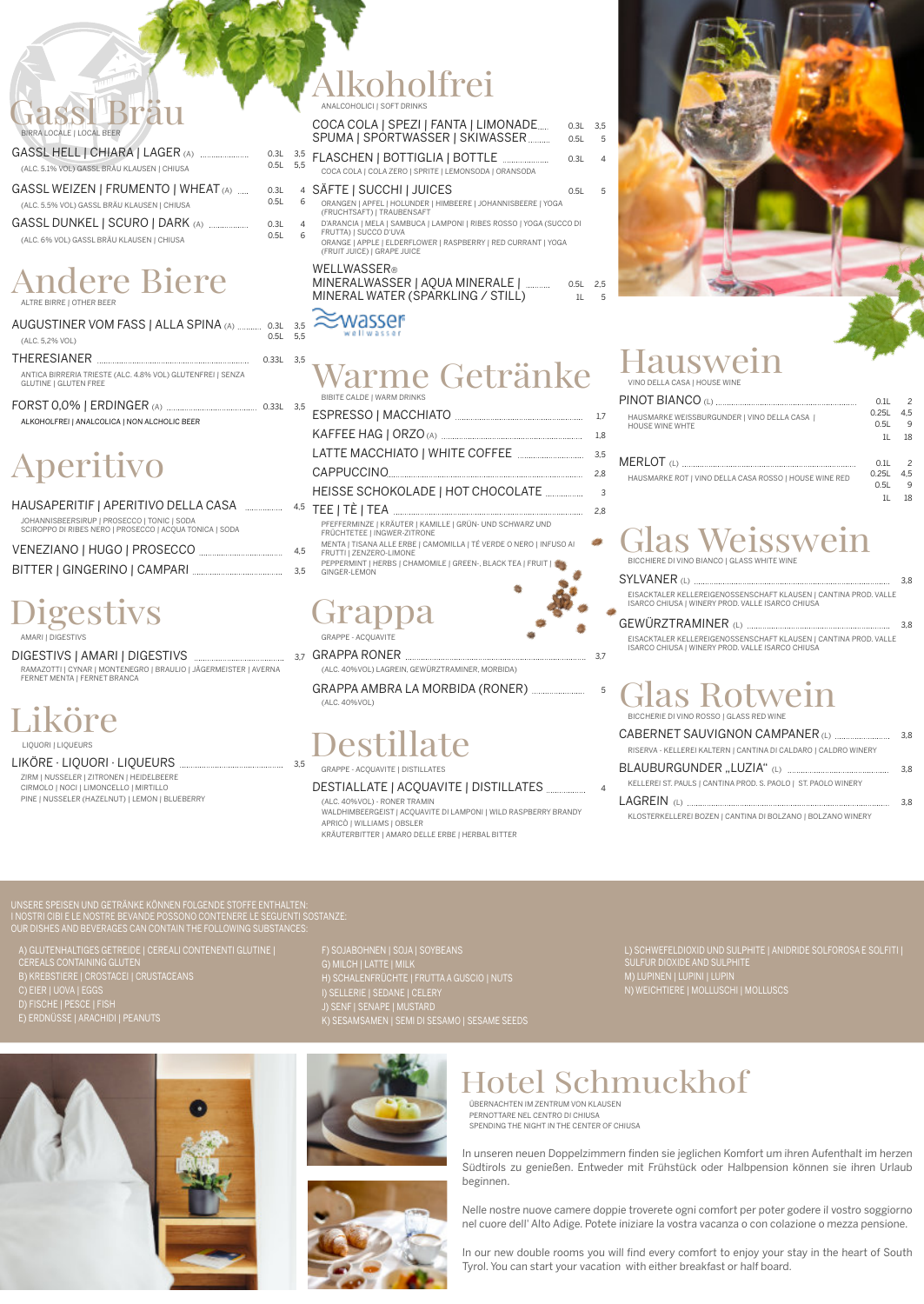#### 0.5L 6 4 SÄFTE | SUCCHI | JUICES 0.5L 5

## ssl Bräu

| BIRRA LOCALE   LOCAL BEER |  |
|---------------------------|--|
|                           |  |

| GASSL HELL   CHIARA   LAGER (A)<br>(ALC. 5.1% VOL) GASSL BRÄU KLAUSEN   CHIUSA     | $0.3L$ 3.5<br>$0.5L$ 5.5 |                     |
|------------------------------------------------------------------------------------|--------------------------|---------------------|
| GASSL WEIZEN   FRUMENTO   WHEAT (A)<br>(ALC. 5.5% VOL) GASSL BRÄU KLAUSEN   CHIUSA | 0.3L<br>0.5L             | $\overline{4}$<br>6 |
| GASSL DUNKEL   SCURO   DARK (A)                                                    | 0.3L                     | $\overline{4}$      |

(ALC. 6% VOL) GASSL BRÄU KLAUSEN | CHIUSA

# Andere Biere

| ALTRE BIRRE   OTHER BEER   |  |
|----------------------------|--|
| AUGUSTINER VOM FASS   ALL. |  |

| (ALC. 5,2% VOL)                                                                            | $0.5L$ 5.5  |  |
|--------------------------------------------------------------------------------------------|-------------|--|
|                                                                                            | $0.33L$ 3.5 |  |
| ANTICA BIRRERIA TRIESTE (ALC. 4.8% VOL) GLUTENFREI   SENZA<br><b>GLUTINE   GLUTEN FREE</b> |             |  |
|                                                                                            |             |  |
| ALKOHOLFREI   ANALCOLICA   NON ALCHOLIC BEER                                               |             |  |

0.5L 5,5 COCA COLA | COLA ZERO | SPRITE | LEMONSODA | ORANSODA

# Aperitivo

| HAUSAPERITIF   APERITIVO DELLA CASA                                                                    | 4.5 |
|--------------------------------------------------------------------------------------------------------|-----|
| JOHANNISBEERSIRUP   PROSECCO   TONIC   SODA<br>SCIROPPO DI RIBES NERO   PROSECCO   ACQUA TONICA   SODA |     |
| VENEZIANO   HUGO   PROSECCO                                                                            | 4.5 |
|                                                                                                        | 3.5 |

### Alkoholfrei ANALCOHOLICI | SOFT DRINKS

#### COCA COLA | SPEZI | FANTA | LIMONADE .... 0.3L 3,5 FLASCHEN | BOTTIGLIA | BOTTLE 0.3L <sup>4</sup> SPUMA | SPORTWASSER | SKIWASSER ........... 0.5L 5

- ORANGEN | APFEL | HOLUNDER | HIMBEERE | JOHANNISBEERE | YOGA (FRUCHTSAFT) | TRAUBENSAFT
- D'ARANCIA | MELA | SAMBUCA | LAMPONI | RIBES ROSSO | YOGA (SUCCO DI FRUTTA) | SUCCO D'UVA
- ORANGE | APPLE | ELDERFLOWER | RASPBERRY | RED CURRANT | YOGA (FRUIT JUICE) | GRAPE JUICE

#### WELLWASSER®

 $0.5L$ 

MINERALWASSER | AQUA MINERALE | ............ 0.5L 2,5 MINERAL WATER (SPARKLING / STILL) 1L

#### wasser: A SPINA (A) .......... 0.3L 3,5

### Warme Getränke BIBITE CALDE | WARM DRINKS

### **Grap** GRAPPE - ACQUAVITE

ESPRESSO | MACCHIATO 1,7 KAFFEE HAG | ORZO (A) 1,8 LATTE MACCHIATO | WHITE COFFEE 3,5 CAPPUCCINO 2,8 HEISSE SCHOKOLADE | HOT CHOCOLATE <sup>3</sup> TEE | TÈ | TEA 2,8 PFEFFERMINZE | KRÄUTER | KAMILLE | GRÜN- UND SCHWARZ UND FRÜCHTETEE | INGWER-ZITRONE MENTA | TISANA ALLE ERBE | CAMOMILLA | TÉ VERDE <sup>O</sup> NERO | INFUSO AI FRUTTI | ZENZERO-LIMONE PEPPERMINT | HERBS | CHAMOMILE | GREEN-, BLACK TEA | FRUIT | C GINGER-LEMON

A) GLUTENHALTIGES GETREIDE | CEREALI CONTENENTI GLUTINE | CEREALS CONTAINING GLUTEN B) KREBSTIERE | CROSTACEI | CRUSTA

# Digestivs

AMARI | DIGESTIVS

DIGESTIVS | AMARI | DIGESTIVS 3,7 RAMAZOTTI | CYNAR | MONTENEGRO | BRAULIO | JÄGERMEISTER | AVERNA FERNET MENTA | FERNET BRANCA

# iköre

# Destillate

GRAPPE - ACQUAVITE | DISTILLATES

#### DESTIALLATE | ACQUAVITE | DISTILLATES <sup>4</sup>

(ALC. 40%VOL) - RONER TRAMIN WALDHIMBEERGEIST | ACQUAVITE DI LAMPONI | WILD RASPBERRY BRANDY APRICÒ | WILLIAMS | OBSLER KRÄUTERBITTER | AMARO DELLE ERBE | HERBAL BITTER

### Hauswein VINO DELLA CASA | HOUSE WINE

| HAUSMARKE WEISSBURGUNDER   VINO DELLA CASA  <br><b>HOUSE WINE WHTE</b> | 0.1L<br>O 251<br>0.51<br>11 | $\mathcal{P}$<br>4.5<br>9<br>18 |
|------------------------------------------------------------------------|-----------------------------|---------------------------------|
| HAUSMARKE ROT   VINO DELLA CASA ROSSO   HOUSE WINE RED                 | 0.11<br>0.25L<br>O.51       | $\mathcal{P}$<br>4.5<br>q       |

# Glas Weisswein

BICCHIERE DI VINO BIANCO | GLASS WHITE WINE

|                                                                                                                      | 3.8 |
|----------------------------------------------------------------------------------------------------------------------|-----|
| EISACKTALER KELLEREIGENOSSENSCHAFT KLAUSEN   CANTINA PROD. VALLE<br>ISARCO CHIUSA I WINERY PROD. VALLE ISARCO CHIUSA |     |
| the contract of the contract of the contract of the contract of the contract of the contract of the contract of      |     |

#### EISACKTALER KELLEREIGENOSSENSCHAFT KLAUSEN | CANTINA PROD. VALLE ISARCO CHIUSA | WINERY PROD. VALLE ISARCO CHIUSA GEWÜRZTRAMINER (L) 3,8

# as Rotwein

BICCHERIE DI VINO ROSSO | GLASS RED WINE

|                                                                 | 3.8 |
|-----------------------------------------------------------------|-----|
| RISERVA - KELLEREI KALTERN   CANTINA DI CALDARO   CALDRO WINERY |     |
|                                                                 | 3.8 |
| KELLEREI ST. PAULS   CANTINA PROD. S. PAOLO   ST. PAOLO WINERY  |     |
|                                                                 | 3.8 |

KLOSTERKELLEREI BOZEN | CANTINA DI BOLZANO | BOLZANO WINERY

#### GRAPPA RONER 3,7

(ALC. 40%VOL) LAGREIN, GEWÜRZTRAMINER, MORBIDA)

GRAPPA AMBRA LA MORBIDA (RONER) <sup>5</sup>

LIQUORI | LIQUEURS

#### LIKÖRE · LIQUORI · LIQUEURS 3,5

ZIRM | NUSSELER | ZITRONEN | HEIDELBEERE CIRMOLO | NOCI | LIMONCELLO | MIRTILLO PINE | NUSSELER (HAZELNUT) | LEMON | BLUEBERRY

UNSERE SPEISEN UND GETRÄNKE KÖNNEN FOLGENDE STOFFE ENTHALTEN: I NOSTRI CIBI E LE NOSTRE BEVANDE POSSONO CONTENERE LE SEGUENTI SOSTANZE: OUR DISHES AND BEVERAGES CAN CONTAIN THE FOLLOWING SUBSTANCES:

C) EIER | UOVA | EGGS D) FISCHE | PESCE | FISH E) ERDNÜSSE | ARACHIDI | PEANUTS F) SOJABOHNEN | SOJA | SOYBEANS G) MILCH | LATTE | MILK H) SCHALENFRÜCHTE | FRUTTA A GUSCIO | NUTS I) SELLERIE | SEDANE | CELERY J) SENF | SENAPE | MUSTARD K) SESAMSAMEN | SEMI DI SESAMO | SESAME SEEDS L) SCHWEFELDIOXID UND SULPHITE | ANIDRIDE SOLFOROSA E SOLFITI | SULFUR DIOXIDE AND SULPHITE M) LUPINEN | LUPINI | LUPIN

N) WEICHTIERE | MOLLUSCHI | MOLLUSCS





### Hotel Schmuckhof

ÜBERNACHTEN IM ZENTRUM VON KLAUSEN PERNOTTARE NEL CENTRO DI CHIUSA SPENDING THE NIGHT IN THE CENTER OF CHIUSA

In unseren neuen Doppelzimmern finden sie jeglichen Komfort um ihren Aufenthalt im herzen Südtirols zu genießen. Entweder mit Frühstück oder Halbpension können sie ihren Urlaub beginnen.

Nelle nostre nuove camere doppie troverete ogni comfort per poter godere il vostro soggiorno nel cuore dell' Alto Adige. Potete iniziare la vostra vacanza <sup>o</sup> con colazione <sup>o</sup> mezza pensione.

In our new double rooms you will find every comfort to enjoy your stay in the heart of South Tyrol. You can start your vacation with either breakfast or half board.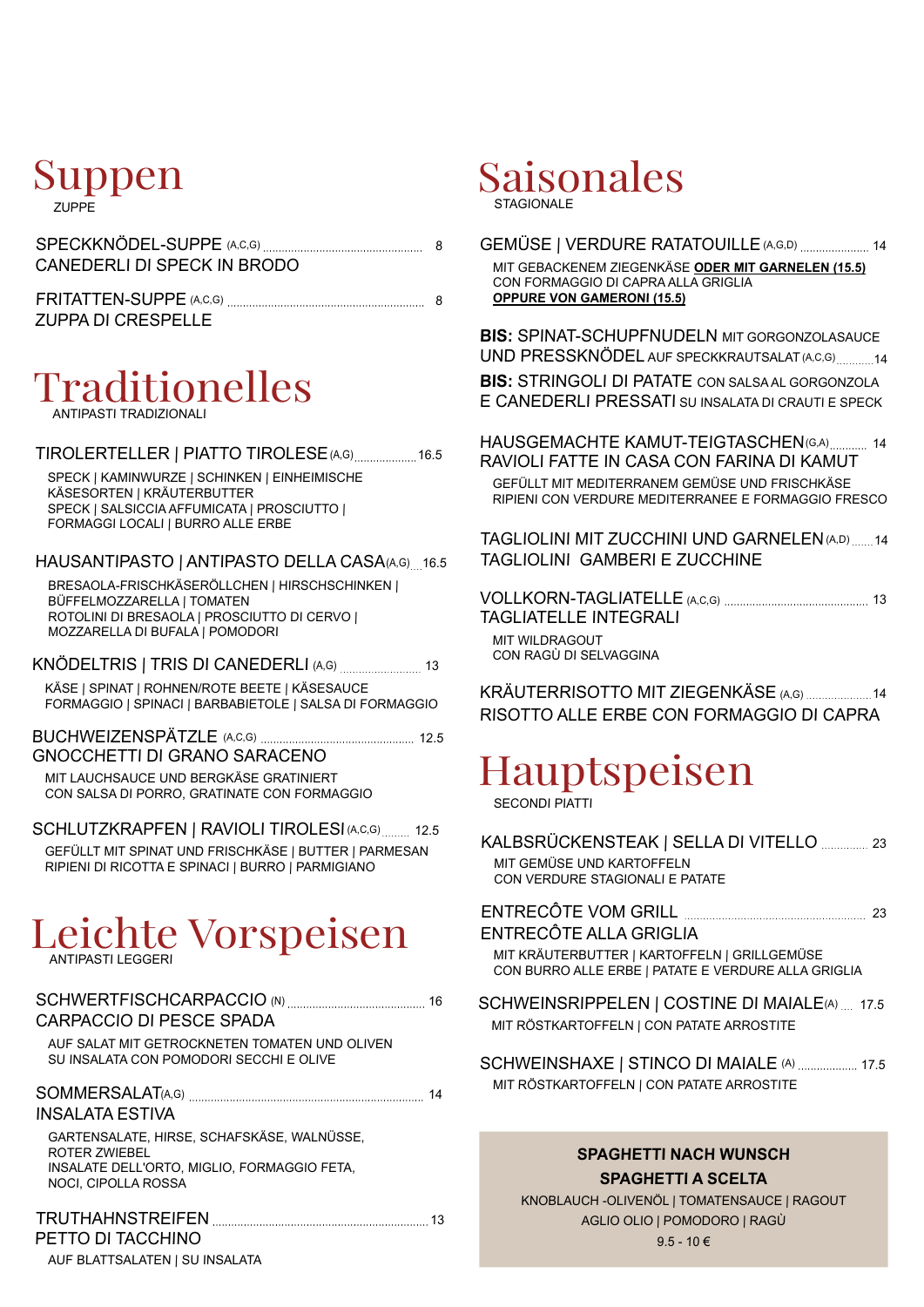#### Suppen ZUPPE

| CANEDERLI DI SPECK IN BRODO |  |
|-----------------------------|--|
|                             |  |

| <b>FRITATTEN-SUPPE (A,C,G)</b> |  |
|--------------------------------|--|
| <b>ZUPPA DI CRESPELLE</b>      |  |

#### Traditionelles ANTIPASTI TRADIZIONALI

TIROLERTELLER | PIATTO TIROLESE (A,G) ................... 16.5

SPECK | KAMINWURZE | SCHINKEN | EINHEIMISCHE KÄSESORTEN | KRÄUTERBUTTER SPECK | SALSICCIA AFFUMICATA | PROSCIUTTO | FORMAGGI LOCALI | BURRO ALLE ERBE

#### HAUSANTIPASTO | ANTIPASTO DELLA CASA(A,G) 16.5

BRESAOLA-FRISCHKÄSERÖLLCHEN | HIRSCHSCHINKEN | BÜFFELMOZZARELLA | TOMATEN ROTOLINI DI BRESAOLA | PROSCIUTTO DI CERVO | MOZZARELLA DI BUFALA | POMODORI

KÄSE | SPINAT | ROHNEN/ROTE BEETE | KÄSESAUCE FORMAGGIO | SPINACI | BARBABIETOLE | SALSA DI FORMAGGIO KNÖDELTRIS | TRIS DI CANEDERLI (A,G) <sup>13</sup>

BUCHWEIZENSPÄTZLE (A,C,G) 12.5 GNOCCHETTI DI GRANO SARACENO

MIT LAUCHSAUCE UND BERGKÄSE GRATINIERT CON SALSA DI PORRO, GRATINATE CON FORMAGGIO

SCHLUTZKRAPFEN | RAVIOLI TIROLESI (A,C,G) ......... 12.5 GEFÜLLT MIT SPINAT UND FRISCHKÄSE | BUTTER | PARMESAN RIPIENI DI RICOTTA E SPINACI | BURRO | PARMIGIANO

# Leichte Vorspeisen

| CARPACCIO DI PESCE SPADA                                                                                   | 16 |
|------------------------------------------------------------------------------------------------------------|----|
| AUF SALAT MIT GETROCKNETEN TOMATEN UND OLIVEN<br>SU INSALATA CON POMODORI SECCHI E OLIVE                   |    |
| <b>INSALATA ESTIVA</b>                                                                                     | 14 |
| GARTENSALATE, HIRSE, SCHAFSKÄSE, WALNÜSSE,<br>ROTER ZWIEBEL<br>INSALATE DELL'ORTO, MIGLIO, FORMAGGIO FETA. |    |
| NOCI. CIPOLLA ROSSA                                                                                        |    |
| ____________ <del>_</del> _____                                                                            |    |

#### TRUTHAHNSTREIFEN 13 PETTO DI TACCHINO

AUF BLATTSALATEN | SU INSALATA

### Saisonales STAGIONALE

GEMÜSE | VERDURE RATATOUILLE (A,G,D) .................... 14 MIT GEBACKENEM ZIEGENKÄSE **ODER MIT GARNELEN (15.5)** CON FORMAGGIO DI CAPRA ALLA GRIGLIA **OPPURE VON GAMERONI (15.5)**

**BIS:** SPINAT-SCHUPFNUDELN MIT GORGONZOLASAUCE UND PRESSKNÖDEL AUF SPECKKRAUTSALAT (A,C,G) ............14

**BIS:** STRINGOLI DI PATATE CON SALSA AL GORGONZOLA E CANEDERLI PRESSATI SU INSALATA DI CRAUTI <sup>E</sup> SPECK

HAUSGEMACHTE KAMUT-TEIGTASCHEN(G,A) ............ 14 RAVIOLI FATTE IN CASA CON FARINA DI KAMUT GEFÜLLT MIT MEDITERRANEM GEMÜSE UND FRISCHKÄSE RIPIENI CON VERDURE MEDITERRANEE E FORMAGGIO FRESCO

TAGLIOLINI MIT ZUCCHINI UND GARNELEN(A,D) <sup>14</sup> TAGLIOLINI GAMBERI E ZUCCHINE

VOLLKORN-TAGLIATELLE (A,C,G) <sup>13</sup> TAGLIATELLE INTEGRALI MIT WILDRAGOUT CON RAGÙ DI SELVAGGINA

KRÄUTERRISOTTO MIT ZIEGENKÄSE (A,G) 14 RISOTTO ALLE ERBE CON FORMAGGIO DI CAPRA

## Hauptspeisen

SECONDI PIATTI

| KALBSRÜCKENSTEAK   SELLA DI VITELLO  23 |  |
|-----------------------------------------|--|
| MIT GEMÜSE UND KARTOFFELN               |  |
| CON VERDURE STAGIONALI E PATATE         |  |

| ENTRECÔTE ALLA GRIGLIA                                                                              |  |
|-----------------------------------------------------------------------------------------------------|--|
| MIT KRÄUTERBUTTER   KARTOFFELN   GRILLGEMÜSE<br>CON BURRO ALLE ERBE   PATATE E VERDURE ALLA GRIGLIA |  |
| SCHWEINSRIPPELEN   COSTINE DI MAIALE(A)  17.5                                                       |  |
| MIT RÖSTKARTOFFELN   CON PATATE ARROSTITE                                                           |  |

SCHWEINSHAXE | STINCO DI MAIALE (A) .................. 17.5 MIT RÖSTKARTOFFELN | CON PATATE ARROSTITE

#### **SPAGHETTI NACH WUNSCH SPAGHETTI A SCELTA**

KNOBLAUCH -OLIVENÖL | TOMATENSAUCE | RAGOUT AGLIO OLIO | POMODORO | RAGÙ

 $9.5 - 10 \in$